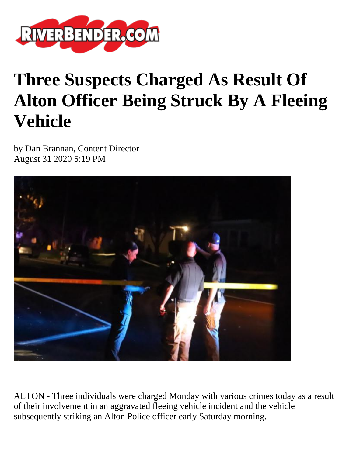

## **Three Suspects Charged As Result Of Alton Officer Being Struck By A Fleeing Vehicle**

by Dan Brannan, Content Director August 31 2020 5:19 PM



ALTON - Three individuals were charged Monday with various crimes today as a result of their involvement in an aggravated fleeing vehicle incident and the vehicle subsequently striking an Alton Police officer early Saturday morning.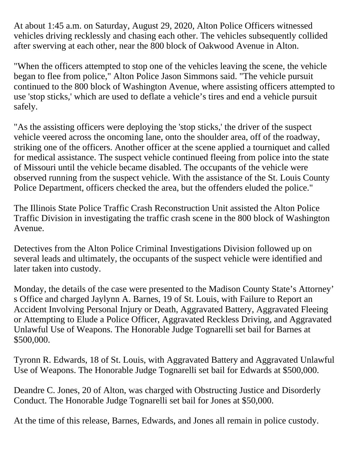At about 1:45 a.m. on Saturday, August 29, 2020, Alton Police Officers witnessed vehicles driving recklessly and chasing each other. The vehicles subsequently collided after swerving at each other, near the 800 block of Oakwood Avenue in Alton.

"When the officers attempted to stop one of the vehicles leaving the scene, the vehicle began to flee from police," Alton Police Jason Simmons said. "The vehicle pursuit continued to the 800 block of Washington Avenue, where assisting officers attempted to use 'stop sticks,' which are used to deflate a vehicle's tires and end a vehicle pursuit safely.

"As the assisting officers were deploying the 'stop sticks,' the driver of the suspect vehicle veered across the oncoming lane, onto the shoulder area, off of the roadway, striking one of the officers. Another officer at the scene applied a tourniquet and called for medical assistance. The suspect vehicle continued fleeing from police into the state of Missouri until the vehicle became disabled. The occupants of the vehicle were observed running from the suspect vehicle. With the assistance of the St. Louis County Police Department, officers checked the area, but the offenders eluded the police."

The Illinois State Police Traffic Crash Reconstruction Unit assisted the Alton Police Traffic Division in investigating the traffic crash scene in the 800 block of Washington Avenue.

Detectives from the Alton Police Criminal Investigations Division followed up on several leads and ultimately, the occupants of the suspect vehicle were identified and later taken into custody.

Monday, the details of the case were presented to the Madison County State's Attorney' s Office and charged Jaylynn A. Barnes, 19 of St. Louis, with Failure to Report an Accident Involving Personal Injury or Death, Aggravated Battery, Aggravated Fleeing or Attempting to Elude a Police Officer, Aggravated Reckless Driving, and Aggravated Unlawful Use of Weapons. The Honorable Judge Tognarelli set bail for Barnes at \$500,000.

Tyronn R. Edwards, 18 of St. Louis, with Aggravated Battery and Aggravated Unlawful Use of Weapons. The Honorable Judge Tognarelli set bail for Edwards at \$500,000.

Deandre C. Jones, 20 of Alton, was charged with Obstructing Justice and Disorderly Conduct. The Honorable Judge Tognarelli set bail for Jones at \$50,000.

At the time of this release, Barnes, Edwards, and Jones all remain in police custody.